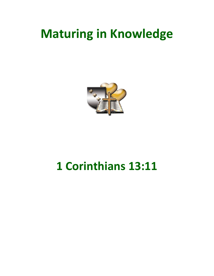## **Maturing in Knowledge**



## 1 Corinthians 13:11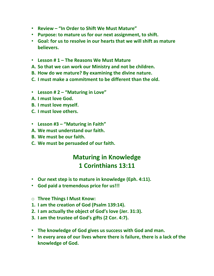- **Review – "In Order to Shift We Must Mature"**
- **Purpose: to mature us for our next assignment, to shift.**
- **Goal: for us to resolve in our hearts that we will shift as mature believers.**
- **Lesson # 1 – The Reasons We Must Mature**
- **A. So that we can work our Ministry and not be children.**
- **B. How do we mature? By examining the divine nature.**
- **C. I must make a commitment to be different than the old.**
- **Lesson # 2 – "Maturing in Love"**
- **A. I must love God.**
- **B. I must love myself.**
- **C. I must love others.**
- **Lesson #3 – "Maturing in Faith"**
- **A. We must understand our faith.**
- **B. We must be our faith.**
- **C. We must be persuaded of our faith.**

## **Maturing in Knowledge 1 Corinthians 13:11**

- **Our next step is to mature in knowledge (Eph. 4:11).**
- **God paid a tremendous price for us!!!**
- o **Three Things I Must Know:**
- **1. I am the creation of God (Psalm 139:14).**
- **2. I am actually the object of God's love (Jer. 31:3).**
- **3. I am the trustee of God's gifts (2 Cor. 4:7).**
- **The knowledge of God gives us success with God and man.**
- **In every area of our lives where there is failure, there is a lack of the knowledge of God.**